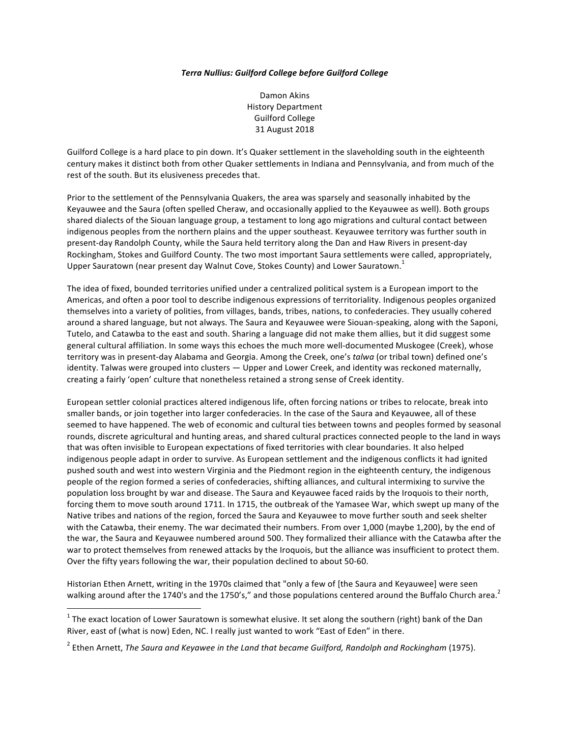## *Terra Nullius: Guilford College before Guilford College*

Damon Akins History Department Guilford College 31 August 2018

Guilford College is a hard place to pin down. It's Quaker settlement in the slaveholding south in the eighteenth century makes it distinct both from other Quaker settlements in Indiana and Pennsylvania, and from much of the rest of the south. But its elusiveness precedes that.

Prior to the settlement of the Pennsylvania Quakers, the area was sparsely and seasonally inhabited by the Keyauwee and the Saura (often spelled Cheraw, and occasionally applied to the Keyauwee as well). Both groups shared dialects of the Siouan language group, a testament to long ago migrations and cultural contact between indigenous peoples from the northern plains and the upper southeast. Keyauwee territory was further south in present-day Randolph County, while the Saura held territory along the Dan and Haw Rivers in present-day Rockingham, Stokes and Guilford County. The two most important Saura settlements were called, appropriately, Upper Sauratown (near present day Walnut Cove, Stokes County) and Lower Sauratown.<sup>1</sup>

The idea of fixed, bounded territories unified under a centralized political system is a European import to the Americas, and often a poor tool to describe indigenous expressions of territoriality. Indigenous peoples organized themselves into a variety of polities, from villages, bands, tribes, nations, to confederacies. They usually cohered around a shared language, but not always. The Saura and Keyauwee were Siouan-speaking, along with the Saponi, Tutelo, and Catawba to the east and south. Sharing a language did not make them allies, but it did suggest some general cultural affiliation. In some ways this echoes the much more well-documented Muskogee (Creek), whose territory was in present-day Alabama and Georgia. Among the Creek, one's *talwa* (or tribal town) defined one's identity. Talwas were grouped into clusters — Upper and Lower Creek, and identity was reckoned maternally, creating a fairly 'open' culture that nonetheless retained a strong sense of Creek identity.

European settler colonial practices altered indigenous life, often forcing nations or tribes to relocate, break into smaller bands, or join together into larger confederacies. In the case of the Saura and Keyauwee, all of these seemed to have happened. The web of economic and cultural ties between towns and peoples formed by seasonal rounds, discrete agricultural and hunting areas, and shared cultural practices connected people to the land in ways that was often invisible to European expectations of fixed territories with clear boundaries. It also helped indigenous people adapt in order to survive. As European settlement and the indigenous conflicts it had ignited pushed south and west into western Virginia and the Piedmont region in the eighteenth century, the indigenous people of the region formed a series of confederacies, shifting alliances, and cultural intermixing to survive the population loss brought by war and disease. The Saura and Keyauwee faced raids by the Iroquois to their north, forcing them to move south around 1711. In 1715, the outbreak of the Yamasee War, which swept up many of the Native tribes and nations of the region, forced the Saura and Keyauwee to move further south and seek shelter with the Catawba, their enemy. The war decimated their numbers. From over 1,000 (maybe 1,200), by the end of the war, the Saura and Keyauwee numbered around 500. They formalized their alliance with the Catawba after the war to protect themselves from renewed attacks by the Iroquois, but the alliance was insufficient to protect them. Over the fifty years following the war, their population declined to about 50-60.

Historian Ethen Arnett, writing in the 1970s claimed that "only a few of [the Saura and Keyauwee] were seen walking around after the 1740's and the 1750's," and those populations centered around the Buffalo Church area.

 $1$  The exact location of Lower Sauratown is somewhat elusive. It set along the southern (right) bank of the Dan River, east of (what is now) Eden, NC. I really just wanted to work "East of Eden" in there.

<sup>2</sup> Ethen Arnett, *The Saura and Keyawee in the Land that became Guilford, Randolph and Rockingham* (1975).